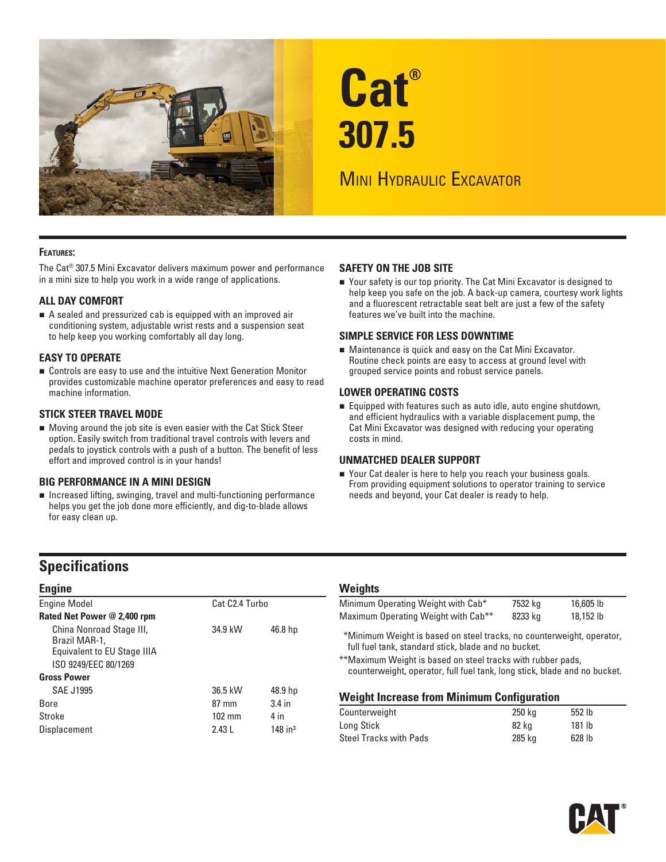

# **Cat® 307.5**

## **MINI HYDRAULIC EXCAVATOR**

## **FEATURES:**

The Cat® 307.5 Mini Excavator delivers maximum power and performance in a mini size to help you work in a wide range of applications.

## **ALL DAY COMFORT**

 A sealed and pressurized cab is equipped with an improved air conditioning system, adjustable wrist rests and a suspension seat to help keep you working comfortably all day long.

## **EASY TO OPERATE**

 Controls are easy to use and the intuitive Next Generation Monitor provides customizable machine operator preferences and easy to read machine information.

## **STICK STEER TRAVEL MODE**

 Moving around the job site is even easier with the Cat Stick Steer option. Easily switch from traditional travel controls with levers and pedals to joystick controls with a push of a button. The benefit of less effort and improved control is in your hands!

## **BIG PERFORMANCE IN A MINI DESIGN**

 Increased lifting, swinging, travel and multi-functioning performance helps you get the job done more efficiently, and dig-to-blade allows for easy clean up.

## **SAFETY ON THE JOB SITE**

■ Your safety is our top priority. The Cat Mini Excavator is designed to help keep you safe on the job. A back-up camera, courtesy work lights and a fluorescent retractable seat belt are just a few of the safety features we've built into the machine.

## **SIMPLE SERVICE FOR LESS DOWNTIME**

 Maintenance is quick and easy on the Cat Mini Excavator. Routine check points are easy to access at ground level with grouped service points and robust service panels.

## **LOWER OPERATING COSTS**

 Equipped with features such as auto idle, auto engine shutdown, and efficient hydraulics with a variable displacement pump, the Cat Mini Excavator was designed with reducing your operating costs in mind.

## **UNMATCHED DEALER SUPPORT**

■ Your Cat dealer is here to help you reach your business goals. From providing equipment solutions to operator training to service needs and beyond, your Cat dealer is ready to help.

## **Specifications**

| <b>Engine</b>                                                                                                          |                  |                       |        |
|------------------------------------------------------------------------------------------------------------------------|------------------|-----------------------|--------|
| <b>Engine Model</b>                                                                                                    | Cat C2.4 Turbo   |                       | N      |
| Rated Net Power @ 2,400 rpm                                                                                            |                  |                       | Λ      |
| China Nonroad Stage III,<br>Brazil MAR-1,<br>Equivalent to EU Stage IIIA<br>ISO 9249/EEC 80/1269<br><b>Gross Power</b> | 34.9 kW          | 46.8 hp               | $\ast$ |
| SAE J1995                                                                                                              | 36.5 kW          | 48.9 hp               |        |
| <b>Bore</b>                                                                                                            | $87 \text{ mm}$  | $3.4$ in              | V      |
| Stroke                                                                                                                 | $102 \text{ mm}$ | 4 in                  | С      |
| Displacement                                                                                                           | 2.43L            | $148$ in <sup>3</sup> | c      |

## **Weights**

| Minimum Operating Weight with Cab*                                    | 7532 kg | 16,605 lb |
|-----------------------------------------------------------------------|---------|-----------|
| Maximum Operating Weight with Cab <sup>**</sup>                       | 8233 ka | 18.152 lb |
| *Minimum Weight is based on steel tracks, no counterweight, operator, |         |           |

full fuel tank, standard stick, blade and no bucket.

\*\* Maximum Weight is based on steel tracks with rubber pads, counterweight, operator, full fuel tank, long stick, blade and no bucket.

## **Weight Increase from Minimum Configuration**

| 250 kg | 552 lb            |  |
|--------|-------------------|--|
| 82 ka  | 181 lb            |  |
| 285 ka | 628 <sub>1b</sub> |  |
|        |                   |  |

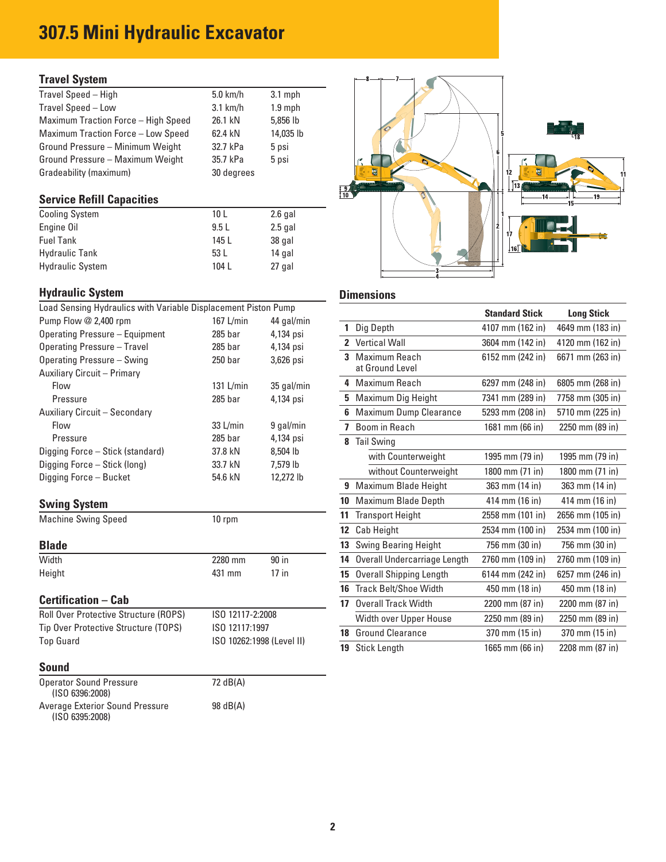## **307.5 Mini Hydraulic Excavator**

## **Travel System**

| Travel Speed - High                 | $5.0$ km/h | $3.1$ mph |
|-------------------------------------|------------|-----------|
| Travel Speed - Low                  | $3.1$ km/h | $1.9$ mph |
| Maximum Traction Force - High Speed | 26.1 kN    | 5,856 lb  |
| Maximum Traction Force - Low Speed  | 62.4 kN    | 14,035 lb |
| Ground Pressure - Minimum Weight    | 32.7 kPa   | 5 psi     |
| Ground Pressure - Maximum Weight    | 35.7 kPa   | 5 psi     |
| Gradeability (maximum)              | 30 degrees |           |
|                                     |            |           |

## **Service Refill Capacities**

| <b>Cooling System</b>   | 10 <sub>L</sub> | $2.6$ gal |
|-------------------------|-----------------|-----------|
| Engine Oil              | 9.5L            | $2.5$ gal |
| <b>Fuel Tank</b>        | 145 L           | 38 gal    |
| <b>Hydraulic Tank</b>   | 53 L            | 14 gal    |
| <b>Hydraulic System</b> | 104 L           | 27 gal    |

## **Hydraulic System Dimensions Dimensions**

| Load Sensing Hydraulics with Variable Displacement Piston Pump |            |            |  |  |  |  |  |  |
|----------------------------------------------------------------|------------|------------|--|--|--|--|--|--|
| Pump Flow @ 2,400 rpm                                          | 167 L/min  | 44 gal/min |  |  |  |  |  |  |
| Operating Pressure - Equipment                                 | $285$ bar  | 4,134 psi  |  |  |  |  |  |  |
| Operating Pressure - Travel                                    | $285$ bar  | 4,134 psi  |  |  |  |  |  |  |
| Operating Pressure - Swing                                     | $250$ bar  | 3,626 psi  |  |  |  |  |  |  |
| Auxiliary Circuit - Primary                                    |            |            |  |  |  |  |  |  |
| Flow                                                           | 131 L/min  | 35 gal/min |  |  |  |  |  |  |
| Pressure                                                       | $285$ bar  | 4,134 psi  |  |  |  |  |  |  |
| Auxiliary Circuit - Secondary                                  |            |            |  |  |  |  |  |  |
| Flow                                                           | $33$ L/min | 9 gal/min  |  |  |  |  |  |  |
| Pressure                                                       | $285$ bar  | 4,134 psi  |  |  |  |  |  |  |
| Digging Force - Stick (standard)                               | 37.8 kN    | 8.504 lb   |  |  |  |  |  |  |
| Digging Force - Stick (long)                                   | 33.7 kN    | 7.579 lb   |  |  |  |  |  |  |
| Digging Force - Bucket                                         | 54.6 kN    | 12.272 lb  |  |  |  |  |  |  |
|                                                                |            |            |  |  |  |  |  |  |

## **Swing System**

| <b>Machine Swing Speed</b> | $10$ rpm |
|----------------------------|----------|
|                            |          |

| piuvv                                        |                  |         |
|----------------------------------------------|------------------|---------|
| Width                                        | 2280 mm          | 90 in   |
| Height                                       | 431 mm           | $17$ in |
| <b>Certification – Cab</b>                   |                  |         |
| <b>Roll Over Protective Structure (ROPS)</b> | ISO 12117-2:2008 |         |

| Tip Over Protective Structure (TOPS) | ISO 12117:1997            |
|--------------------------------------|---------------------------|
| Top Guard                            | ISO 10262:1998 (Level II) |

## **Sound**

| <b>Operator Sound Pressure</b><br>(ISO 6396:2008)  | 72 dB(A) |
|----------------------------------------------------|----------|
| Average Exterior Sound Pressure<br>(ISO 6395:2008) | 98 dB(A) |



| Load Sensing Hydraulics with Variable Displacement Piston Pump |                           |            |    |                                | <b>Standard Stick</b> | <b>Long Stick</b> |
|----------------------------------------------------------------|---------------------------|------------|----|--------------------------------|-----------------------|-------------------|
| Pump Flow @ 2,400 rpm                                          | 167 L/min                 | 44 gal/min |    | Dig Depth                      | 4107 mm (162 in)      | 4649 mm (183 in)  |
| Operating Pressure - Equipment                                 | $285$ bar                 | 4,134 psi  |    |                                |                       |                   |
| Operating Pressure - Travel                                    | $285$ bar                 | 4,134 psi  |    | 2 Vertical Wall                | 3604 mm (142 in)      | 4120 mm (162 in)  |
| Operating Pressure - Swing                                     | 250 <sub>bar</sub>        | 3,626 psi  |    | 3 Maximum Reach                | 6152 mm (242 in)      | 6671 mm (263 in)  |
| Auxiliary Circuit - Primary                                    |                           |            |    | at Ground Level                |                       |                   |
| Flow                                                           | 131 $L/min$               | 35 gal/min |    | 4 Maximum Reach                | 6297 mm (248 in)      | 6805 mm (268 in)  |
| Pressure                                                       | $285$ bar                 | 4,134 psi  |    | 5 Maximum Dig Height           | 7341 mm (289 in)      | 7758 mm (305 in)  |
| Auxiliary Circuit – Secondary                                  |                           |            |    | 6 Maximum Dump Clearance       | 5293 mm (208 in)      | 5710 mm (225 in)  |
| Flow                                                           | $33$ L/min                | 9 gal/min  |    | 7 Boom in Reach                | 1681 mm (66 in)       | 2250 mm (89 in)   |
| Pressure                                                       | $285$ bar                 | 4,134 psi  |    | 8 Tail Swing                   |                       |                   |
| Digging Force – Stick (standard)                               | 37.8 kN                   | 8,504 lb   |    | with Counterweight             | 1995 mm (79 in)       | 1995 mm (79 in)   |
| Digging Force – Stick (long)                                   | 33.7 kN                   | 7,579 lb   |    | without Counterweight          | 1800 mm (71 in)       | 1800 mm (71 in)   |
| Digging Force – Bucket                                         | 54.6 kN                   | 12,272 lb  |    | 9 Maximum Blade Height         | 363 mm (14 in)        | 363 mm (14 in)    |
| <b>Swing System</b>                                            |                           |            | 10 | <b>Maximum Blade Depth</b>     | 414 mm (16 in)        | 414 mm (16 in)    |
| <b>Machine Swing Speed</b>                                     | 10 rpm                    |            |    | <b>11</b> Transport Height     | 2558 mm (101 in)      | 2656 mm (105 in)  |
|                                                                |                           |            | 12 | Cab Height                     | 2534 mm (100 in)      | 2534 mm (100 in)  |
| <b>Blade</b>                                                   |                           |            | 13 | <b>Swing Bearing Height</b>    | 756 mm (30 in)        | 756 mm (30 in)    |
| Width                                                          | 2280 mm                   | 90 in      | 14 | Overall Undercarriage Length   | 2760 mm (109 in)      | 2760 mm (109 in)  |
| Height                                                         | 431 mm                    | $17$ in    | 15 | <b>Overall Shipping Length</b> | 6144 mm (242 in)      | 6257 mm (246 in)  |
|                                                                |                           |            |    | 16 Track Belt/Shoe Width       | 450 mm (18 in)        | 450 mm (18 in)    |
| <b>Certification – Cab</b>                                     |                           |            | 17 | <b>Overall Track Width</b>     | 2200 mm (87 in)       | 2200 mm (87 in)   |
| <b>Roll Over Protective Structure (ROPS)</b>                   | ISO 12117-2:2008          |            |    | Width over Upper House         | 2250 mm (89 in)       | 2250 mm (89 in)   |
| Tip Over Protective Structure (TOPS)                           | ISO 12117:1997            |            |    | <b>18</b> Ground Clearance     | 370 mm (15 in)        | 370 mm (15 in)    |
| Top Guard                                                      | ISO 10262:1998 (Level II) |            |    | 19 Stick Length                | 1665 mm (66 in)       | 2208 mm (87 in)   |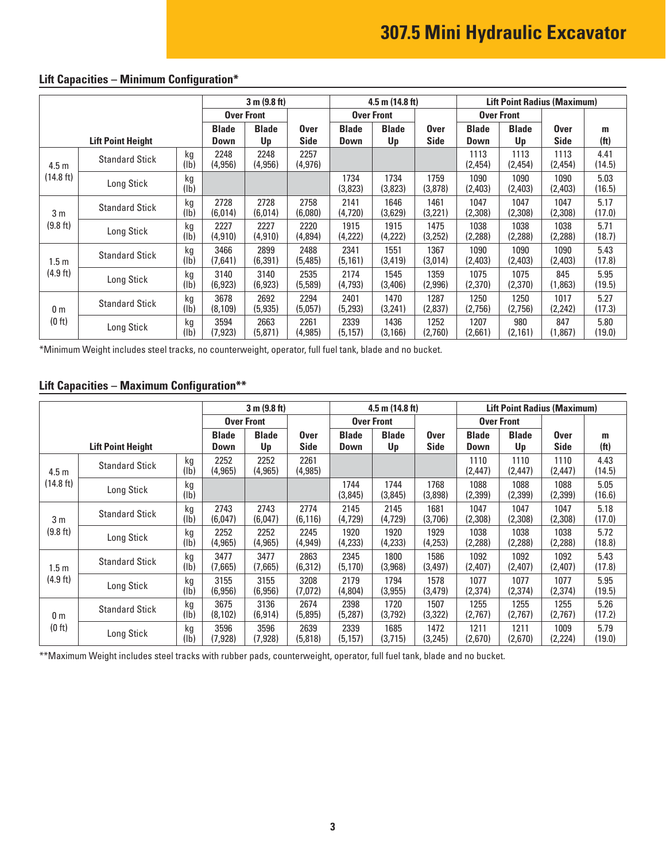## **307.5 Mini Hydraulic Excavator**

|                    |                          | 3 m (9.8 ft)      |                             | $4.5$ m $(14.8)$ ft) |                            |                             | <b>Lift Point Radius (Maximum)</b> |                     |                      |                    |                            |                        |
|--------------------|--------------------------|-------------------|-----------------------------|----------------------|----------------------------|-----------------------------|------------------------------------|---------------------|----------------------|--------------------|----------------------------|------------------------|
|                    |                          | <b>Over Front</b> |                             | <b>Over Front</b>    |                            |                             | <b>Over Front</b>                  |                     |                      |                    |                            |                        |
|                    | <b>Lift Point Height</b> |                   | <b>Blade</b><br><b>Down</b> | <b>Blade</b><br>Up   | <b>Over</b><br><b>Side</b> | <b>Blade</b><br><b>Down</b> | <b>Blade</b><br>Up                 | Over<br><b>Side</b> | <b>Blade</b><br>Down | <b>Blade</b><br>Up | <b>Over</b><br><b>Side</b> | m<br>(f <sup>t</sup> ) |
| 4.5 <sub>m</sub>   | <b>Standard Stick</b>    | kg<br>(lb)        | 2248<br>(4,956)             | 2248<br>(4,956)      | 2257<br>(4, 976)           |                             |                                    |                     | 1113<br>(2,454)      | 1113<br>(2,454)    | 1113<br>(2,454)            | 4.41<br>(14.5)         |
| (14.8 ft)          | Long Stick               | kg<br>(1b)        |                             |                      |                            | 1734<br>(3,823)             | 1734<br>(3,823)                    | 1759<br>(3,878)     | 1090<br>(2,403)      | 1090<br>(2,403)    | 1090<br>(2,403)            | 5.03<br>(16.5)         |
| 3 <sub>m</sub>     | <b>Standard Stick</b>    | kg<br>(Ib)        | 2728<br>(6,014)             | 2728<br>(6,014)      | 2758<br>(6,080)            | 2141<br>(4,720)             | 1646<br>(3,629)                    | 1461<br>(3,221)     | 1047<br>(2,308)      | 1047<br>(2,308)    | 1047<br>(2,308)            | 5.17<br>(17.0)         |
| (9.8 ft)           | Long Stick               | kg<br>(Ib)        | 2227<br>(4, 910)            | 2227<br>(4, 910)     | 2220<br>(4,894)            | 1915<br>(4,222)             | 1915<br>(4,222)                    | 1475<br>(3,252)     | 1038<br>(2,288)      | 1038<br>(2,288)    | 1038<br>(2,288)            | 5.71<br>(18.7)         |
| 1.5m               | <b>Standard Stick</b>    | kg<br>(1b)        | 3466<br>(7,641)             | 2899<br>(6, 391)     | 2488<br>(5,485)            | 2341<br>(5, 161)            | 1551<br>(3, 419)                   | 1367<br>(3,014)     | 1090<br>(2,403)      | 1090<br>(2,403)    | 1090<br>(2,403)            | 5.43<br>(17.8)         |
| $(4.9 \text{ ft})$ | Long Stick               | kg<br>(lb)        | 3140<br>(6, 923)            | 3140<br>(6, 923)     | 2535<br>(5,589)            | 2174<br>(4, 793)            | 1545<br>(3,406)                    | 1359<br>(2,996)     | 1075<br>(2,370)      | 1075<br>(2,370)    | 845<br>(1,863)             | 5.95<br>(19.5)         |
| 0 m                | <b>Standard Stick</b>    | kg<br>(lb)        | 3678<br>(8, 109)            | 2692<br>(5, 935)     | 2294<br>(5,057)            | 2401<br>(5,293)             | 1470<br>(3,241)                    | 1287<br>(2,837)     | 1250<br>(2,756)      | 1250<br>(2,756)    | 1017<br>(2,242)            | 5.27<br>(17.3)         |
| (0 ft)             | Long Stick               | kg<br>(Ib)        | 3594<br>(7, 923)            | 2663<br>(5,871)      | 2261<br>(4, 985)           | 2339<br>(5, 157)            | 1436<br>(3, 166)                   | 1252<br>(2,760)     | 1207<br>(2,661)      | 980<br>(2, 161)    | 847<br>(1,867)             | 5.80<br>(19.0)         |

## **Lift Capacities – Minimum Configuration\***

\*Minimum Weight includes steel tracks, no counterweight, operator, full fuel tank, blade and no bucket.

## **Lift Capacities – Maximum Configuration\*\***

|                               |                       | 3 m (9.8 ft)                |                    |                            | $4.5$ m $(14.8)$ ft)        |                    |                            | <b>Lift Point Radius (Maximum)</b> |                    |                            |                        |                |
|-------------------------------|-----------------------|-----------------------------|--------------------|----------------------------|-----------------------------|--------------------|----------------------------|------------------------------------|--------------------|----------------------------|------------------------|----------------|
|                               |                       | <b>Over Front</b>           |                    |                            | <b>Over Front</b>           |                    |                            |                                    | <b>Over Front</b>  |                            |                        |                |
| <b>Lift Point Height</b>      |                       | <b>Blade</b><br><b>Down</b> | <b>Blade</b><br>Up | <b>Over</b><br><b>Side</b> | <b>Blade</b><br><b>Down</b> | <b>Blade</b><br>Up | <b>Over</b><br><b>Side</b> | <b>Blade</b><br>Down               | <b>Blade</b><br>Up | <b>Over</b><br><b>Side</b> | m<br>(f <sup>t</sup> ) |                |
| 4.5 <sub>m</sub><br>(14.8 ft) | <b>Standard Stick</b> | kg<br>(1b)                  | 2252<br>(4, 965)   | 2252<br>(4, 965)           | 2261<br>(4, 985)            |                    |                            |                                    | 1110<br>(2, 447)   | 1110<br>(2,447)            | 1110<br>(2, 447)       | 4.43<br>(14.5) |
|                               | Long Stick            | kg<br>(1b)                  |                    |                            |                             | 1744<br>(3,845)    | 1744<br>(3,845)            | 1768<br>(3,898)                    | 1088<br>(2,399)    | 1088<br>(2,399)            | 1088<br>(2,399)        | 5.05<br>(16.6) |
| 3 <sub>m</sub><br>(9.8 ft)    | <b>Standard Stick</b> | kg<br>(lb)                  | 2743<br>(6,047)    | 2743<br>(6,047)            | 2774<br>(6, 116)            | 2145<br>(4, 729)   | 2145<br>(4,729)            | 1681<br>(3,706)                    | 1047<br>(2,308)    | 1047<br>(2,308)            | 1047<br>(2,308)        | 5.18<br>(17.0) |
|                               | Long Stick            | kg<br>(1b)                  | 2252<br>(4, 965)   | 2252<br>(4, 965)           | 2245<br>(4, 949)            | 1920<br>(4,233)    | 1920<br>(4,233)            | 1929<br>(4,253)                    | 1038<br>(2, 288)   | 1038<br>(2, 288)           | 1038<br>(2, 288)       | 5.72<br>(18.8) |
| 1.5 m<br>$(4.9 \text{ ft})$   | <b>Standard Stick</b> | kg<br>(lb)                  | 3477<br>(7,665)    | 3477<br>(7,665)            | 2863<br>(6, 312)            | 2345<br>(5, 170)   | 1800<br>(3,968)            | 1586<br>(3, 497)                   | 1092<br>(2,407)    | 1092<br>(2,407)            | 1092<br>(2,407)        | 5.43<br>(17.8) |
|                               | Long Stick            | kg<br>$(\mathsf{lb})$       | 3155<br>(6,956)    | 3155<br>(6,956)            | 3208<br>(7,072)             | 2179<br>(4,804)    | 1794<br>(3,955)            | 1578<br>(3,479)                    | 1077<br>(2,374)    | 1077<br>(2, 374)           | 1077<br>(2,374)        | 5.95<br>(19.5) |
| 0 <sub>m</sub><br>(0 ft)      | <b>Standard Stick</b> | kg<br>(Ib)                  | 3675<br>(8, 102)   | 3136<br>(6, 914)           | 2674<br>(5,895)             | 2398<br>(5,287)    | 1720<br>(3,792)            | 1507<br>(3,322)                    | 1255<br>(2,767)    | 1255<br>(2,767)            | 1255<br>(2,767)        | 5.26<br>(17.2) |
|                               | Long Stick            | kg<br>(lb)                  | 3596<br>(7, 928)   | 3596<br>(7, 928)           | 2639<br>(5,818)             | 2339<br>(5, 157)   | 1685<br>(3,715)            | 1472<br>(3, 245)                   | 1211<br>(2,670)    | 1211<br>(2,670)            | 1009<br>(2,224)        | 5.79<br>(19.0) |

\*\* Maximum Weight includes steel tracks with rubber pads, counterweight, operator, full fuel tank, blade and no bucket.